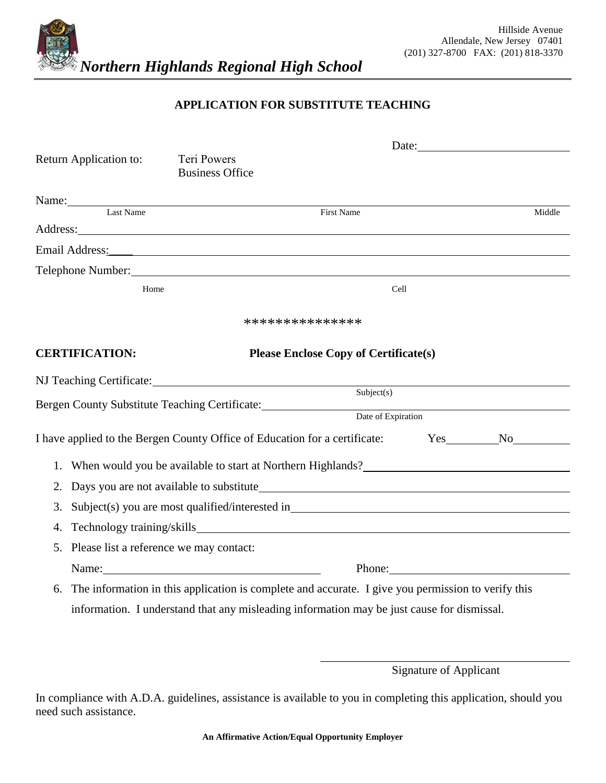

## **APPLICATION FOR SUBSTITUTE TEACHING**

|                                            | Date: 2008                                                                                                                                                                                                                          |                    |        |        |  |
|--------------------------------------------|-------------------------------------------------------------------------------------------------------------------------------------------------------------------------------------------------------------------------------------|--------------------|--------|--------|--|
| Return Application to:                     | Teri Powers<br><b>Business Office</b>                                                                                                                                                                                               |                    |        |        |  |
|                                            |                                                                                                                                                                                                                                     |                    |        |        |  |
| Name: Last Name                            | <b>First Name</b>                                                                                                                                                                                                                   |                    |        | Middle |  |
|                                            | Address: <u>Address</u> and the contract of the contract of the contract of the contract of the contract of the contract of the contract of the contract of the contract of the contract of the contract of the contract of the con |                    |        |        |  |
|                                            | Email Address: No. 2014 19:30 No. 2014 19:30 No. 2014 19:30 No. 2014 19:30 No. 2014 19:30 No. 2014 19:30 No. 2014 19:30 No. 2014 19:30 No. 2014 19:30 No. 2014 19:30 No. 2014 19:30 No. 2014 19:30 No. 2014 19:30 No. 2014 19:      |                    |        |        |  |
|                                            | Telephone Number: New York Contract the Contract of the Contract of the Contract of the Contract of the Contract of the Contract of the Contract of the Contract of the Contract of the Contract of the Contract of the Contra      |                    |        |        |  |
| Home                                       |                                                                                                                                                                                                                                     | Cell               |        |        |  |
|                                            | ***************                                                                                                                                                                                                                     |                    |        |        |  |
| <b>CERTIFICATION:</b>                      | <b>Please Enclose Copy of Certificate(s)</b>                                                                                                                                                                                        |                    |        |        |  |
|                                            |                                                                                                                                                                                                                                     |                    |        |        |  |
|                                            | Bergen County Substitute Teaching Certificate:                                                                                                                                                                                      | Subject(s)         |        |        |  |
|                                            |                                                                                                                                                                                                                                     | Date of Expiration |        |        |  |
|                                            | I have applied to the Bergen County Office of Education for a certificate:                                                                                                                                                          |                    |        | Yes No |  |
|                                            | 1. When would you be available to start at Northern Highlands?                                                                                                                                                                      |                    |        |        |  |
| 2.                                         |                                                                                                                                                                                                                                     |                    |        |        |  |
| 3.                                         | Subject(s) you are most qualified/interested in__________________________________                                                                                                                                                   |                    |        |        |  |
| 4.                                         | Technology training/skills                                                                                                                                                                                                          |                    |        |        |  |
| 5. Please list a reference we may contact: |                                                                                                                                                                                                                                     |                    |        |        |  |
|                                            | Name:                                                                                                                                                                                                                               |                    | Phone: |        |  |
| 6.                                         | The information in this application is complete and accurate. I give you permission to verify this                                                                                                                                  |                    |        |        |  |
|                                            | information. I understand that any misleading information may be just cause for dismissal.                                                                                                                                          |                    |        |        |  |
|                                            |                                                                                                                                                                                                                                     |                    |        |        |  |

\_\_\_\_\_\_\_\_\_\_\_\_\_\_\_\_\_\_\_\_\_\_\_\_\_\_\_\_\_\_\_\_\_\_\_\_\_\_\_\_\_\_ Signature of Applicant

In compliance with A.D.A. guidelines, assistance is available to you in completing this application, should you need such assistance.